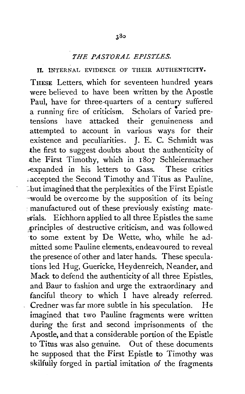## *THE PASTORAL EPISTLES.*

## II. INTERNAL EVIDENCE OF THEIR AUTHENTICITY.

THESE Letters, which for seventeen hundred years were believed to have been written by the Apostle Paul, have for three-quarters of a century suffered a running fire of criticism. Scholars of varied pretensions have attacked their genuineness and attempted to account in various ways for their existence and peculiarities. J. E. C. Schmidt was the first to suggest doubts about the authenticity of lthe First Timothy, which in 1807 Schleiermacher -expanded in his letters to Gass. These critics ;.accepted the Second Timothy and Titus as Pauline, · .. but imagined that the perplexities of the First Epistle ·-would be overcome by the supposition of its being • manufactured out of these previously existing mate strials. Eichhorn applied to all three Epistles the same ,,principles of destructive criticism, and was followed to some extent by De Wette, who, while he admitted some Pauline elements, endeavoured to reveal the presence of other and later hands. These speculations led Hug, Guericke, Heydenreich, Neander, and Mack to defend the authenticity of all three Epistles. and Baur to fashion and urge the extraordinary and fanciful theory to which I have already referred. Credner was far more subtle in his speculation. He imagined that two Pauline fragments were written during the first and second imprisonments of the Apostle, and that a considerable portion of the Epistle to Titus was also genuine. Out of these documents he supposed that the First Epistle to Timothy was skilfully forged in partial imitation of the fragments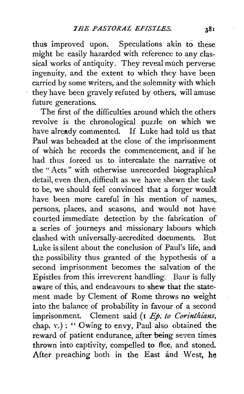thus improved upon. Speculations akin to these might be easily hazarded with reference to any classical works of antiquity. They reveal much perverse ingenuity, and the extent to which they have been carried by some writers, and the solemnity with which they have been gravely refuted by others, will amuse future generations.

The first of the difficulties around which the others revolve is the chronological puzzle on which we have already commented. If Luke had told us that Paul was beheaded at the close of the imprisonment of which he records the commencement, and if he had thus forced us to intercalate the narrative of the " Acts" with otherwise unrecorded biographica) detail, even. then, difficult as. we have shewn the task to be, we should feel convinced that a forger wouldi. have been more careful in his mention of names. persons, places, and seasons, and would not have courted immediate detection by the fabrication of a series of journeys and missionary labours which, clashed with universally-accredited documents. But Luke is silent about the conclusion of Paul's life, and the possibility thus granted of the hypothesis of a second imprisonment becomes the salvation of the Epistles from this irreverent handling. Baur is fully aware of this, and endeavours to shew that the statement made by Clement of Rome throws no weight into the balance of probability in favour of a second imprisonment. Clement said (1 *Ep. to Corinthians*, chap.  $v.$ ): " Owing to envy, Paul also obtained the reward of patient endurance, after being seven times thrown into captivity, compelled to flee, and stoned. After preaching both in the East and West, he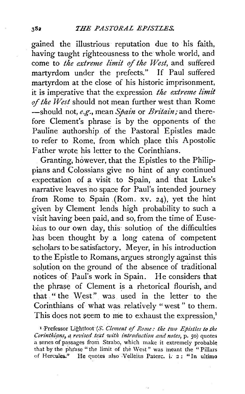gained the illustrious· reputation due to his faith, having taught righteousness to the whole world, and come to *the extreme limit of the West,* and suffered martyrdom under the prefects." If Paul suffered martyrdom at the close of his historic imprisonment, it is imperative that the expression *the extreme limit* of the West should not mean further west than Rome -should not, *e.g.,* mean *Spain* or *Britain;* and therefore Clement's phrase is by the opponents of the Pauline authorship of the Pastoral Epistles made to refer to Rome, from which place this Apostolic Father wrote his letter to the Corinthians.

Granting, however, that the Epistles to the Philippians and Colossians give no hint of any continued expectation of a visit to Spain, and that Luke's narrative leaves no space for Paul's intended journey from Rome to Spain (Rom. xv. 24), yet the hint given by Clement lends high probability to such a visit having been paid, and so, from the time of Eusebius to our own day, this solution of the difficulties has been thought by a long catena of competent scholars to be satisfactory. Meyer, in his introduction to the Epistle to Romans, argues strongly against this solution on the ground of the absence of traditional notices of Paul's work in Spain. He considers that the phrase of Clement is a rhetorical flourish, and that " the West" was. used in the letter to the Corinthians of what was relatively "west" to them. This does not seem to me to exhaust the expression.<sup>1</sup>

<sup>1</sup> Prefessor Lightfoot *(S. Clement of Rome: the two Epistles to the* Corinthians, *a revised text with introduction and notes*, p. 50) quotes  $a$  series of passages from Strabo, which make it extremely probable that by the phrase "the limit of the West" was meant the "Pillars of Hercules." He quotes also Velleius Paterc. i. 2: "In ultimo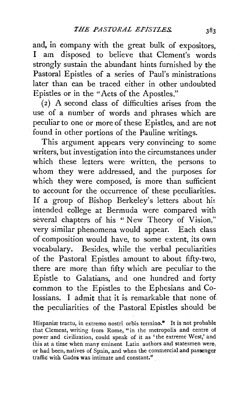and, in company with the great bulk of expositors, I am disposed to believe that Clement's words strongly sustain the abundant hints furnished by the Pastoral Epistles of a series of Paul's ministrations later than can be traced either in other undoubted Epistles or in the "Acts of the Apostles."

( 2) A second class of difficulties arises from the use of a number of words and phrases which are peculiar to one or more of these Epistles, and are not found in other portions of the Pauline writings.

This argument appears very convincing to some writers, but investigation into the circumstances under which these letters were written, the persons to whom they were addressed, and the purposes for which they were composed, is more than sufficient to account for the occurrence of these peculiarities. If a group of Bishop Berkeley's letters about his intended college at Bermuda were compared with several chapters of his "New Theory of Vision," very similar phenomena would appear. Each class of composition would have, to some extent, its own vocabulary. Besides, while the verbal peculiarities of the Pastoral Epistles amount to about fifty-two, there are more than fifty which are peculiar to the Epistle to Galatians, and one hundred and forty common to the Epistles to the Ephesians and Colossians. I admit that it is remarkable that none of the peculiarities of the Pastoral Epistles should be

Hispaniæ tractu, in extremo nostri orbis termino." It is not probable that Clement, writing from Rome, "in the metropolis and centre of power and civilization, could speak of it as 'the extreme West,' and this at a time when many eminent Latin authors and statesmen were, or had been, natives of Spain, and when the commercial and passenger traffic with Gades was intimate and constant."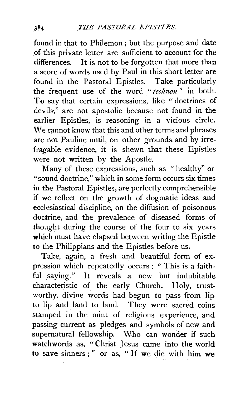found in that to Philemon ; but the purpose and date of this private letter are sufficient to account for the differences. It is not to be forgotten that more than a score of words used by Paul in this short letter are found in the Pastoral Epistles. Take particularly the frequent use of the word " *technon*" in both. To say that certain expressions, like " doctrines of devils," are not apostolic because not found in the earlier Epistles, is reasoning in a vicious circle. We cannot know that this and other terms and phrases are not Pauline until, on other grounds and by irrefragable evidence, it is shewn that these Epistles were not written by the Apostle.

Many of these expressions, such as "healthy" or "sound doctrine," which in some form occurs six times in the Pastoral Epistles, are perfectly comprehensible if we reflect on the growth of dogmatic ideas and ecclesiastical discipline, on the diffusion of poisonous doctrine, and the prevalence of diseased forms of thought during the course of the four to six years which must have elapsed between writing the Epistle to the Philippians and the Epistles before us.

Take, again, a fresh and beautiful form of expression which repeatedly occurs : " This is a faithful saying." It reveals a new but indubitable characteristic of the early Church. Holy, trustworthy, divine words had begun to pass from lip to lip and land to land. They were sacred coins stamped in the mint of religious experience, and passing current as pledges and symbols of new and supernatural fellowship. Who can wonder if such watchwords as, " Christ Jesus came into the world to save sinners;" or as, " If we die with him we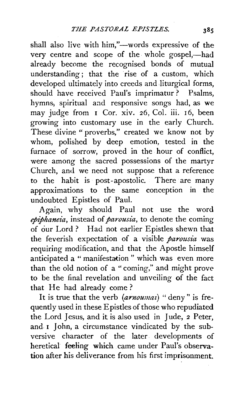shall also live with him,"---words expressive of the very centre and scope of the whole gospel,-had already become the recognised bonds of mutual understanding; that the rise of a custom, which developed ultimately into creeds and liturgical forms, should have received Paul's imprimatur? Psalms, hymns, spiritual and responsive songs had, as we may judge from I Cor. xiv. 26, Col. iii. 16, been growing into customary use in the early Church. These divine " proverbs," created we know not by whom, polished by deep emotion, tested in the furnace of sorrow, proved in the hour of conflict, were among the sacred possessions of the martyr Church, and we need not suppose that a reference to the habit is post-apostolic. There are many approximations to the same conception in the undoubted Epistles of Paul.

Again, why should Paul not use the word epiphaneia, instead of *parousia*, to denote the coming of our Lord? Had not earlier Epistles shewn that the feverish expectation of a visible *parousia* was requiring modification, and that the Apostle himself anticipated a "manifestation" which was even more than the old notion of a "coming," and might prove to be the final revelation and unveiling of the fact that He had already come?

It is true that the verb (arnoumai) "deny" is frequently used in these Epistles of those who repudiated the Lord Jesus, and it is also used in Jude, 2 Peter, and. I John, a circumstance vindicated by the subversive character of the later developments of heretical feeling which came under Paul's observation after his deliverance from his first imprisonment.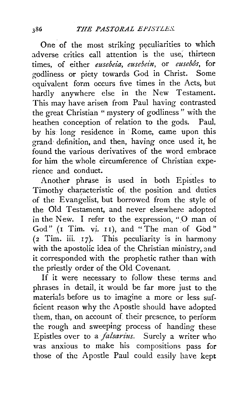One of the most striking peculiarities to which adverse critics call attention is the use, thirteen times, of either *eusebeia*, eusebein, or eusebôs, for godliness or piety towards God in Christ. Some equivalent form occurs five times in the Acts, but hardly anywhere else in the New Testament. This may have ariseh from Paul having contrasted the great Christian "mystery of godliness" with the heathen conception of relation to the gods. Paul. by his. long residence in ·Rome, came upon this grand definition, and then, having once used it, he found the various derivatives of the word embrace for him the whole circumference of Christian experience and conduct.

Another phrase is used in both Epistles to Timothy characteristic of the position and duties of the Evangelist, but borrowed from the style of the Old Testament, and never elsewhere adopted in the New. I refer to the expression, " $\overline{O}$  man of God" (1 Tim. vi. 11), and "The man of God" (2 Tim. iii. 17). This peculiarity is in harmony with the apostolic idea of the Christian ministry, and it corresponded with the prophetic rather than with the priestly order of the Old Covenant.

If it were necessary to follow these terms and phrases in detail, it would be far more just to the materials before us to imagine a more or less sufficient reason why the Apostle should have adopted them, than, on account of. their presence, to perform the rough and sweeping process of handing these Epistles over to a *jalsarius.* Surely a writer who was anxious to make his compositions pass for those of the Apostle Paul could easily have kept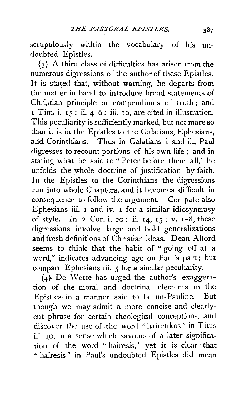scrupulously within the vocabulary of his undoubted Epistles.

(3) A third class of difficulties has arisen from the numerous digressions of the author of these Epistles. It is stated that, without warning, he departs from the matter in hand to introduce broad statements of Christian principle or compendiums of truth; and  $\overline{1}$  Tim. i.  $\overline{1}$   $\overline{5}$ ; ii.  $\overline{4}$ -6; iii.  $\overline{1}$ 6, are cited in illustration. This peculiarity is sufficiently marked, but not more so than it is in the Epistles to the Galatians, Ephesians, and Corinthians. Thus in Galatians i. and ii., Paul digresses to recount portions of his own life ; and in stating what he said to " Peter before them all," he unfolds the whole doctrine of justification by faith. In the Epistles to the Corinthians the digressions run into whole Chapters, and it becomes difficult in consequence to follow the argument. Compate also Ephesians iii. 1 and iv. 1 for a similar idiosyncrasy of style. In 2  $Cor. i. 20$ ; ii. 14, 15; v. 1-8, these digressions involve large and bold generalizations and fresh-definitions of Christian ideas. Dean Altord seems to think that the habit of " going off at a word," indicates advancing age on Paul's part; but compare Ephesians iii. 5 for a similar peculiarity.

(4) De Wette has urged the author's exaggeration of the moral and doctrinal elements in the Epistles in a manner said to be un-Pauline. But though we may admit a more concise and clearlycut phrase for certain theological conceptions, and discover the use of the word "hairetikos" in Titus iii. 10, in a sense which savours of a later signification of the word " hairesis," yet it is clear that " hairesis" in Paul's undoubted Epistles did mean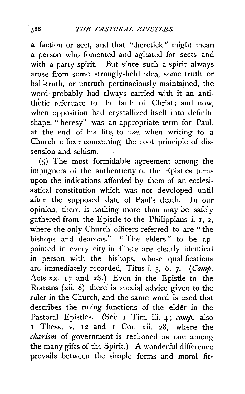a faction or sect, and that "heretick" might mean a person who fomented and agitated for sects and with a party spirit. But since such a spirit always arose from some strongly-held idea, some truth, or half-truth, or untruth pertinaciously maintained, the word· probably had always carried with it an antithetic • reference to the faith of Christ ; and now, when opposition had crystallized itself into definite shape, "heresy" was an appropriate term for Paul, at the end of his life, to use. when writing to a Church officer concerning the root principle of dissension and schism.

(5) The most formidable agreement among the impugners of. the authenticity of the Epistles turns upon the indications afforded by them of an ecclesiastical constitution which was not developed until after the supposed date of Paul's death. In our opinion, there is nothing more than may be safely gathered from the Epistle to the Philippians i. I, 2, where the only Church officers referred to are " the bishops and deacons." " The elders " to be appointed in every city in Crete are clearly identical in person. with the bishops, whose qualifications are immediately recorded, Titus i. 5, 6, 7. (Comp. Acts xx. 17 and 28.) Even in the Epistle to the Romans  $(xii. 8)$  there is special advice given to the ruler in the Church, and the same word is used that describes the ruling functions of the elder in the Pastoral Epistles. (See I Tim. iii. 4; *comp.* also I Thess. v. 12 and I Cor. xii. 28, where the *charism* of government is reckoned as one among the many gifts of the Spirit.) A wonderful difference prevails between the simple forms and moral fit-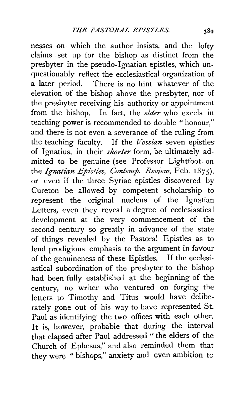nesses on which the author insists, and the · lofty claims set up ior the bishop as distinct from the presbyter in the pseudo-Ignatian epistles, which unquestionably reflect the ecclesiastical organization of a later period. There is no hint whatever of the elevation of the bishop above the presbyter, nor of the presbyter receiving his authority or appointment from the bishop. In fact, the *elder* who excels in teaching power is recommended to double " honour," and there is not even a severance of the ruling from the teaching faculty. If the *Vossian* seven epistles of Ignatius, in their *shorter* form, be ultimately admitted to be genuine (see Professor Lightfoot on the *Ignatian Epistles, Contemp. Review,* Feb. 1875), or even if the three Syriac epistles discovered by Cureton be allowed by competent scholarship to represent the original nucleus of the Ignatian Letters, even they reveal a degree of ecclesiastical development at the very commencement of the second century so greatly in advance of the state of things revealed by the Pastoral Epistles as to lend prodigious emphasis to the argument in favour of the genuineness of these Epistles. If the ecclesiastical subordination of the presbyter to the bishop had been fully established at the beginning of the century, no writer who. ventured on forging the letters to Timothy and Titus would have deliberately gone out of his way to have represented St. Paul as identifying the two offices with each other. It is, however, probable that during the interval that elapsed after Paul addressed " the elders of the Church of Ephesus," and also reminded them that they were " bishops," anxiety and even ambition tc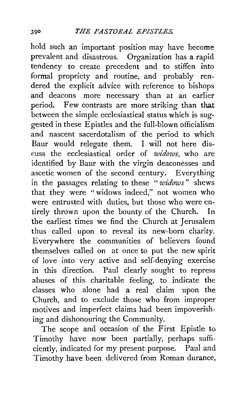hold such an important position may have become prevalent and disastrous. Organization has a rapid tendency to create precedent and to stiffen into formal propriety and routine, and probably rendered the explicit advice with reference to bishops and deacons more necessary than at an earlier period. Few contrasts are more striking than that between the simple ecclesiastical status which is suggested in these Epistles and the full-blown officialism and nascent sacerdotalism of the period to which Baur would relegate them. I will not here disr.uss the ecclesiastical order of *widows,* who are identified by Baur with the virgin deaconesses and ascetic women of the second century. Everything in the passages relating to these " *widows"* shews that they were "widows indeed," not women who were entrusted with duties, but those who were entirely thrown upon the bounty of the Church. In the earliest times we find the Church at Jerusalem thus called upon to reveal its new-born charity. Everywhere the communities of believers found themselves called on at once to put the new spirit of love into very active and self-denying exercise in this direction. Paul clearly sought to repress abuses of this charitable feeling, to indicate the classes who alone had a real claim upon the Church, and to exclude those who from improper motives and imperfect claims had been impoverishing and dishonouring the Community.

The scope and occasion of the First Epistle to Timothy have now been partially, perhaps sufficiently, indicated for my present- purpose. Paul and Timothy have been delivered from Roman durance,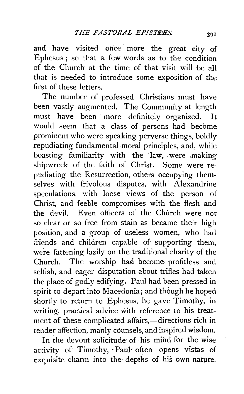and have visited once more the great city of Ephesus; so that a few words as to the condition of the Church at the time of that visit will be all that is needed to introduce some exposition of the first of these letters.

The number of professed Christians must have been vastly augmented. The Community at length must have been more definitely organized. It would seem that a class of persons had become prominent who were speaking perverse things, boldly repudiating fundamental moral principles, and, while boasting familiarity with the law, were making shipwreck of the faith of Christ. Some were repudiating the Resurrection, others occupying themselves with frivolous disputes, with Alexandrine speculations, with loose views of the person of Christ, and feeble compromises with the flesh and the devil. Even officers of the Church were not so clear or so free from stain as became their high position, and a group of useless women, who had iriends and children capable of supporting them, were fattening lazily on the traditional charity of the Church. The worship had become- profitless and selfish, and eager disputation about trifles had taken the place of godly edifying. Paul had been pressed in spirit to depart into Macedonia; and though he hoped shortly to return to Ephesus, he gave Timothy, in writing, practical advice with reference to his treatment of these complicated affairs,-directions rich in tender affection, manly counsels, and inspired wisdom.

In the devout solicitude of his mind for the wise activity of Timothy, · Paul• often ·opens vistas of exquisite charm into ·the· depths of his own nature.